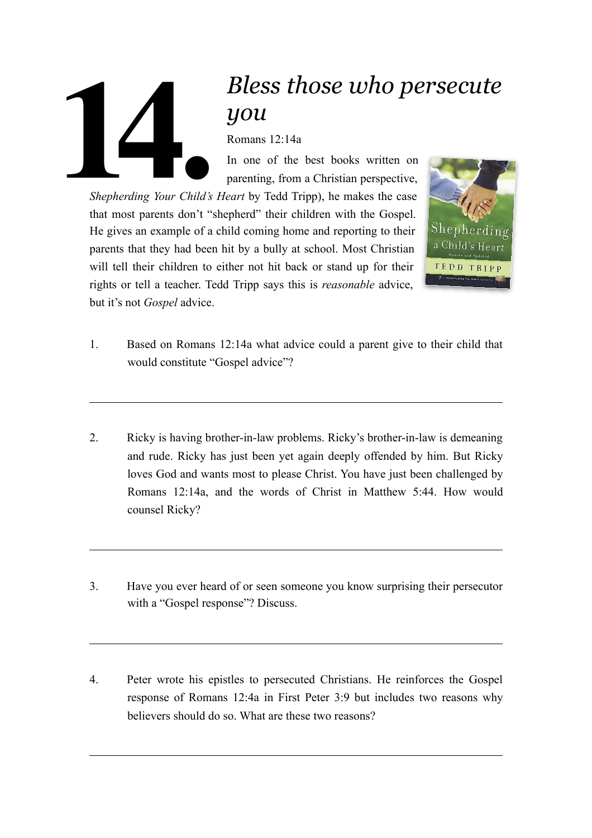## *Bless those who persecute you* Romans 12:14a In one of the best books written on **14.**

parenting, from a Christian perspective, *Shepherding Your Child's Heart* by Tedd Tripp), he makes the case that most parents don't "shepherd" their children with the Gospel. He gives an example of a child coming home and reporting to their parents that they had been hit by a bully at school. Most Christian will tell their children to either not hit back or stand up for their rights or tell a teacher. Tedd Tripp says this is *reasonable* advice, but it's not *Gospel* advice.



- 1. Based on Romans 12:14a what advice could a parent give to their child that would constitute "Gospel advice"?
- 2. Ricky is having brother-in-law problems. Ricky's brother-in-law is demeaning and rude. Ricky has just been yet again deeply offended by him. But Ricky loves God and wants most to please Christ. You have just been challenged by Romans 12:14a, and the words of Christ in Matthew 5:44. How would counsel Ricky?
- 3. Have you ever heard of or seen someone you know surprising their persecutor with a "Gospel response"? Discuss.
- 4. Peter wrote his epistles to persecuted Christians. He reinforces the Gospel response of Romans 12:4a in First Peter 3:9 but includes two reasons why believers should do so. What are these two reasons?